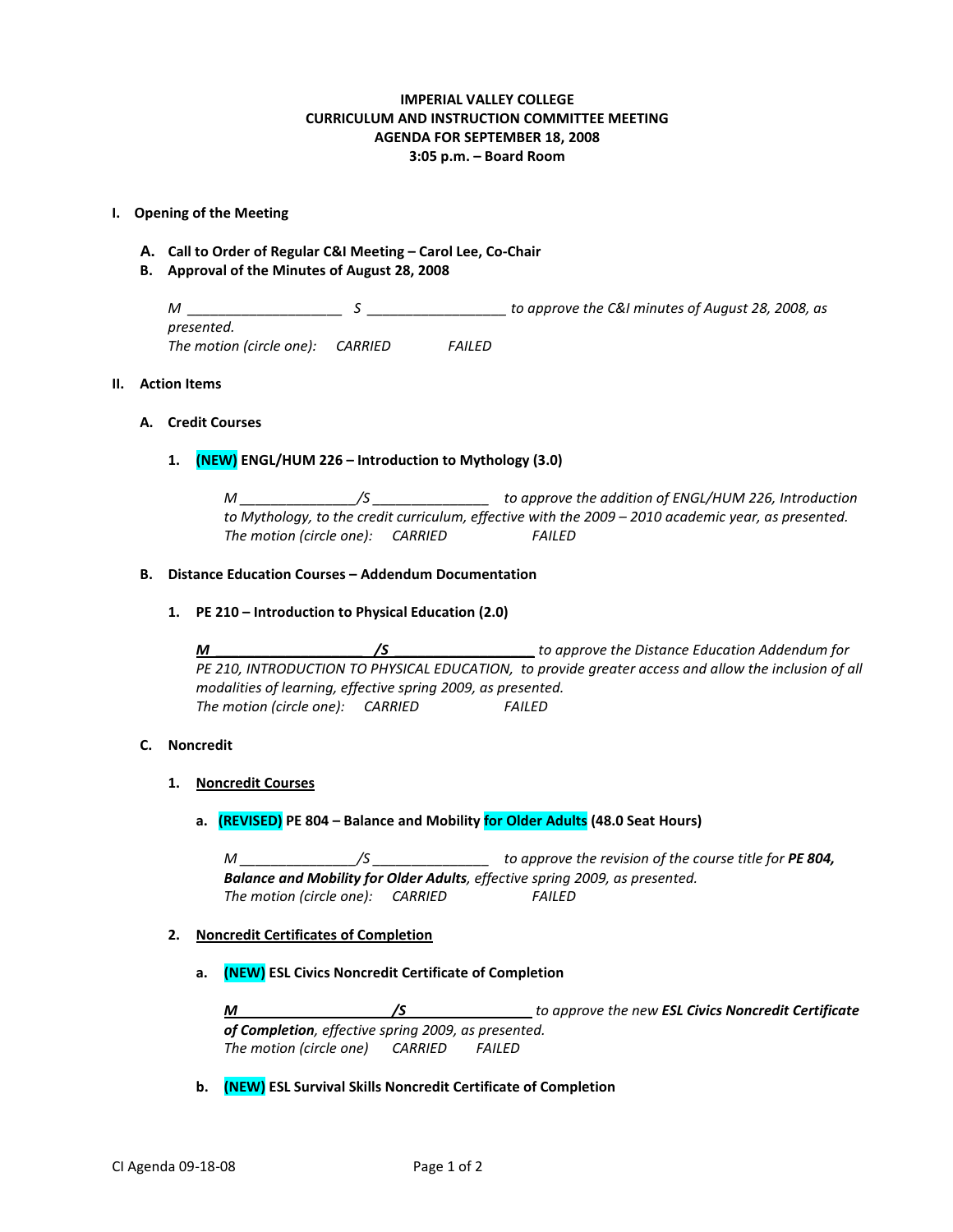## **IMPERIAL VALLEY COLLEGE CURRICULUM AND INSTRUCTION COMMITTEE MEETING AGENDA FOR SEPTEMBER 18, 2008 3:05 p.m. – Board Room**

#### **I. Opening of the Meeting**

- **A. Call to Order of Regular C&I Meeting – Carol Lee, Co-Chair**
- **B. Approval of the Minutes of August 28, 2008**

*M \_\_\_\_\_\_\_\_\_\_\_\_\_\_\_\_\_\_\_\_ S \_\_\_\_\_\_\_\_\_\_\_\_\_\_\_\_\_\_ to approve the C&I minutes of August 28, 2008, as presented. The motion (circle one): CARRIED FAILED*

#### **II. Action Items**

#### **A. Credit Courses**

#### **1. (NEW) ENGL/HUM 226 – Introduction to Mythology (3.0)**

*M \_\_\_\_\_\_\_\_\_\_\_\_\_\_\_/S \_\_\_\_\_\_\_\_\_\_\_\_\_\_\_ to approve the addition of ENGL/HUM 226, Introduction to Mythology, to the credit curriculum, effective with the 2009 – 2010 academic year, as presented. The motion (circle one): CARRIED FAILED*

## **B. Distance Education Courses – Addendum Documentation**

**1. PE 210 – Introduction to Physical Education (2.0)**

*M \_\_\_\_\_\_\_\_\_\_\_\_\_\_\_\_\_\_\_ /S \_\_\_\_\_\_\_\_\_\_\_\_\_\_\_\_\_\_ to approve the Distance Education Addendum for PE 210, INTRODUCTION TO PHYSICAL EDUCATION, to provide greater access and allow the inclusion of all modalities of learning, effective spring 2009, as presented. The motion (circle one): CARRIED FAILED*

## **C. Noncredit**

- **1. Noncredit Courses**
	- **a. (REVISED) PE 804 – Balance and Mobility for Older Adults (48.0 Seat Hours)**

*M* \_\_\_\_\_\_\_\_\_\_\_\_\_\_\_/S \_\_\_\_\_\_\_\_\_\_\_\_\_\_\_\_\_ to approve the revision of the course title for **PE 804,** *Balance and Mobility for Older Adults, effective spring 2009, as presented. The motion (circle one): CARRIED FAILED*

## **2. Noncredit Certificates of Completion**

**a. (NEW) ESL Civics Noncredit Certificate of Completion**

*M /S to approve the new ESL Civics Noncredit Certificate of Completion, effective spring 2009, as presented. The motion (circle one) CARRIED FAILED*

**b. (NEW) ESL Survival Skills Noncredit Certificate of Completion**